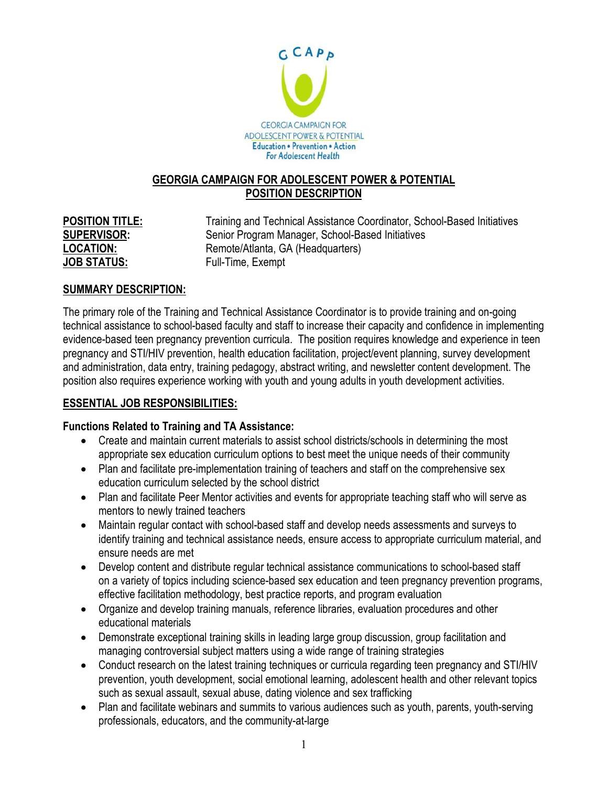

### **GEORGIA CAMPAIGN FOR ADOLESCENT POWER & POTENTIAL POSITION DESCRIPTION**

**LOCATION:** Remote/Atlanta, GA (Headquarters) **JOB STATUS:** Full-Time, Exempt

**POSITION TITLE:** Training and Technical Assistance Coordinator, School-Based Initiatives **SUPERVISOR:** Senior Program Manager, School-Based Initiatives

# **SUMMARY DESCRIPTION:**

The primary role of the Training and Technical Assistance Coordinator is to provide training and on-going technical assistance to school-based faculty and staff to increase their capacity and confidence in implementing evidence-based teen pregnancy prevention curricula. The position requires knowledge and experience in teen pregnancy and STI/HIV prevention, health education facilitation, project/event planning, survey development and administration, data entry, training pedagogy, abstract writing, and newsletter content development. The position also requires experience working with youth and young adults in youth development activities.

# **ESSENTIAL JOB RESPONSIBILITIES:**

# **Functions Related to Training and TA Assistance:**

- Create and maintain current materials to assist school districts/schools in determining the most appropriate sex education curriculum options to best meet the unique needs of their community
- Plan and facilitate pre-implementation training of teachers and staff on the comprehensive sex education curriculum selected by the school district
- Plan and facilitate Peer Mentor activities and events for appropriate teaching staff who will serve as mentors to newly trained teachers
- Maintain regular contact with school-based staff and develop needs assessments and surveys to identify training and technical assistance needs, ensure access to appropriate curriculum material, and ensure needs are met
- Develop content and distribute regular technical assistance communications to school-based staff on a variety of topics including science-based sex education and teen pregnancy prevention programs, effective facilitation methodology, best practice reports, and program evaluation
- Organize and develop training manuals, reference libraries, evaluation procedures and other educational materials
- Demonstrate exceptional training skills in leading large group discussion, group facilitation and managing controversial subject matters using a wide range of training strategies
- Conduct research on the latest training techniques or curricula regarding teen pregnancy and STI/HIV prevention, youth development, social emotional learning, adolescent health and other relevant topics such as sexual assault, sexual abuse, dating violence and sex trafficking
- Plan and facilitate webinars and summits to various audiences such as youth, parents, youth-serving professionals, educators, and the community-at-large